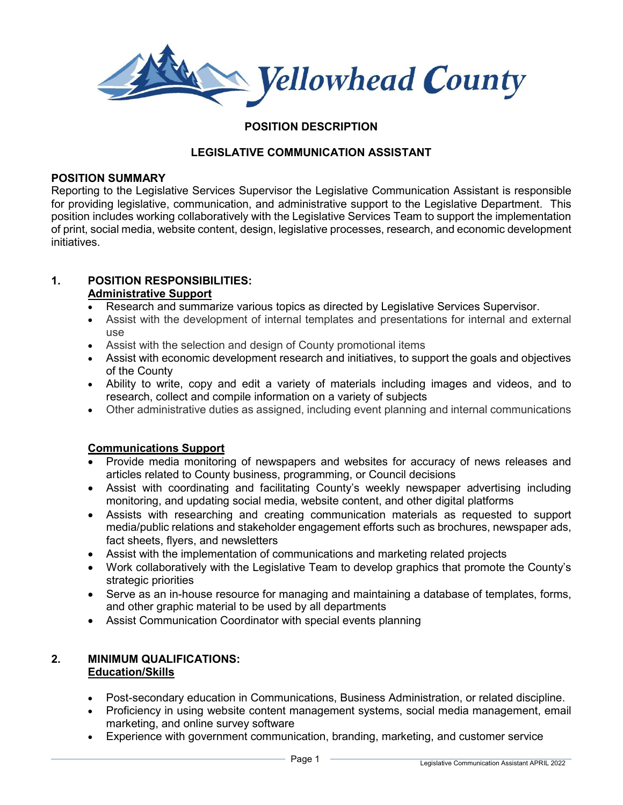Nellowhead County

# **POSITION DESCRIPTION**

# **LEGISLATIVE COMMUNICATION ASSISTANT**

#### **POSITION SUMMARY**

Reporting to the Legislative Services Supervisor the Legislative Communication Assistant is responsible for providing legislative, communication, and administrative support to the Legislative Department. This position includes working collaboratively with the Legislative Services Team to support the implementation of print, social media, website content, design, legislative processes, research, and economic development initiatives.

#### **1. POSITION RESPONSIBILITIES: Administrative Support**

- Research and summarize various topics as directed by Legislative Services Supervisor.
- Assist with the development of internal templates and presentations for internal and external use
- Assist with the selection and design of County promotional items
- Assist with economic development research and initiatives, to support the goals and objectives of the County
- Ability to write, copy and edit a variety of materials including images and videos, and to research, collect and compile information on a variety of subjects
- Other administrative duties as assigned, including event planning and internal communications

### **Communications Support**

- Provide media monitoring of newspapers and websites for accuracy of news releases and articles related to County business, programming, or Council decisions
- Assist with coordinating and facilitating County's weekly newspaper advertising including monitoring, and updating social media, website content, and other digital platforms
- Assists with researching and creating communication materials as requested to support media/public relations and stakeholder engagement efforts such as brochures, newspaper ads, fact sheets, flyers, and newsletters
- Assist with the implementation of communications and marketing related projects
- Work collaboratively with the Legislative Team to develop graphics that promote the County's strategic priorities
- Serve as an in-house resource for managing and maintaining a database of templates, forms, and other graphic material to be used by all departments
- Assist Communication Coordinator with special events planning

### **2. MINIMUM QUALIFICATIONS: Education/Skills**

- Post-secondary education in Communications, Business Administration, or related discipline.
- Proficiency in using website content management systems, social media management, email marketing, and online survey software
- Experience with government communication, branding, marketing, and customer service